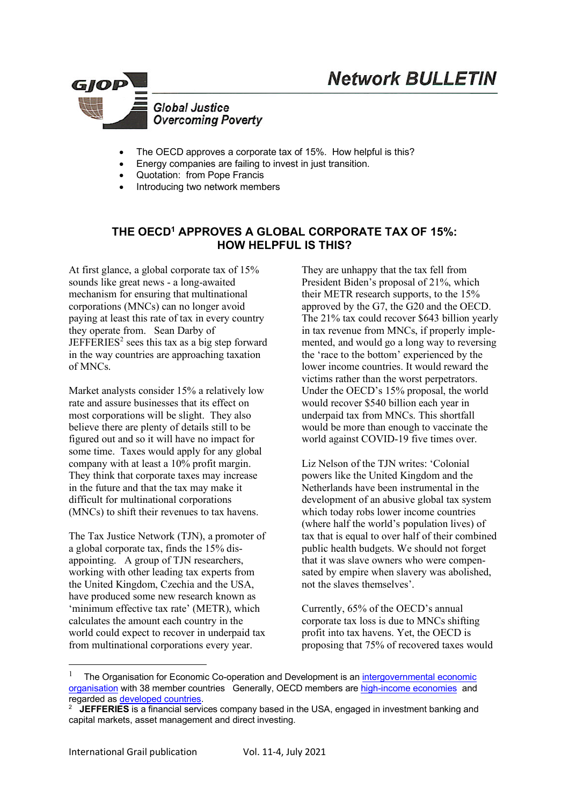



- The OECD approves a corporate tax of 15%. How helpful is this?
- Energy companies are failing to invest in just transition.
- Quotation: from Pope Francis
- Introducing two network members

# **THE OECD1 APPROVES A GLOBAL CORPORATE TAX OF 15%: HOW HELPFUL IS THIS?**

At first glance, a global corporate tax of 15% sounds like great news - a long-awaited mechanism for ensuring that multinational corporations (MNCs) can no longer avoid paying at least this rate of tax in every country they operate from. Sean Darby of  $JEFFERIES<sup>2</sup> sees this tax as a big step forward$ in the way countries are approaching taxation of MNCs.

Market analysts consider 15% a relatively low rate and assure businesses that its effect on most corporations will be slight. They also believe there are plenty of details still to be figured out and so it will have no impact for some time. Taxes would apply for any global company with at least a 10% profit margin. They think that corporate taxes may increase in the future and that the tax may make it difficult for multinational corporations (MNCs) to shift their revenues to tax havens.

The Tax Justice Network (TJN), a promoter of a global corporate tax, finds the 15% disappointing. A group of TJN researchers, working with other leading tax experts from the United Kingdom, Czechia and the USA, have produced some new research known as 'minimum effective tax rate' (METR), which calculates the amount each country in the world could expect to recover in underpaid tax from multinational corporations every year.

They are unhappy that the tax fell from President Biden's proposal of 21%, which their METR research supports, to the 15% approved by the G7, the G20 and the OECD. The 21% tax could recover \$643 billion yearly in tax revenue from MNCs, if properly implemented, and would go a long way to reversing the 'race to the bottom' experienced by the lower income countries. It would reward the victims rather than the worst perpetrators. Under the OECD's 15% proposal, the world would recover \$540 billion each year in underpaid tax from MNCs. This shortfall would be more than enough to vaccinate the world against COVID-19 five times over.

Liz Nelson of the TJN writes: 'Colonial powers like the United Kingdom and the Netherlands have been instrumental in the development of an abusive global tax system which today robs lower income countries (where half the world's population lives) of tax that is equal to over half of their combined public health budgets. We should not forget that it was slave owners who were compensated by empire when slavery was abolished, not the slaves themselves'.

Currently, 65% of the OECD's annual corporate tax loss is due to MNCs shifting profit into tax havens. Yet, the OECD is proposing that 75% of recovered taxes would

l

<sup>&</sup>lt;sup>1</sup> The Organisation for Economic Co-operation and Development is an *intergovernmental economic* organisation with 38 member countries Generally, OECD members are high-income economies and regarded as developed countries. 2

**JEFFERIES** is a financial services company based in the USA, engaged in investment banking and capital markets, asset management and direct investing.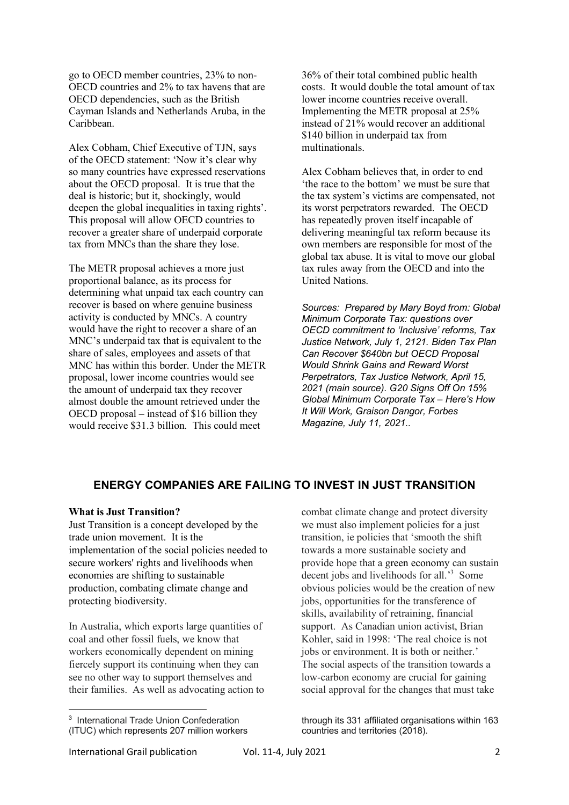go to OECD member countries, 23% to non-OECD countries and 2% to tax havens that are OECD dependencies, such as the British Cayman Islands and Netherlands Aruba, in the Caribbean.

Alex Cobham, Chief Executive of TJN, says of the OECD statement: 'Now it's clear why so many countries have expressed reservations about the OECD proposal. It is true that the deal is historic; but it, shockingly, would deepen the global inequalities in taxing rights'. This proposal will allow OECD countries to recover a greater share of underpaid corporate tax from MNCs than the share they lose.

The METR proposal achieves a more just proportional balance, as its process for determining what unpaid tax each country can recover is based on where genuine business activity is conducted by MNCs. A country would have the right to recover a share of an MNC's underpaid tax that is equivalent to the share of sales, employees and assets of that MNC has within this border. Under the METR proposal, lower income countries would see the amount of underpaid tax they recover almost double the amount retrieved under the OECD proposal – instead of \$16 billion they would receive \$31.3 billion. This could meet

36% of their total combined public health costs. It would double the total amount of tax lower income countries receive overall. Implementing the METR proposal at 25% instead of 21% would recover an additional \$140 billion in underpaid tax from multinationals.

Alex Cobham believes that, in order to end 'the race to the bottom' we must be sure that the tax system's victims are compensated, not its worst perpetrators rewarded. The OECD has repeatedly proven itself incapable of delivering meaningful tax reform because its own members are responsible for most of the global tax abuse. It is vital to move our global tax rules away from the OECD and into the United Nations.

*Sources: Prepared by Mary Boyd from: Global Minimum Corporate Tax: questions over OECD commitment to 'Inclusive' reforms, Tax Justice Network, July 1, 2121. Biden Tax Plan Can Recover \$640bn but OECD Proposal Would Shrink Gains and Reward Worst Perpetrators, Tax Justice Network, April 15, 2021 (main source). G20 Signs Off On 15% Global Minimum Corporate Tax – Here's How It Will Work, Graison Dangor, Forbes Magazine, July 11, 2021..*

## **ENERGY COMPANIES ARE FAILING TO INVEST IN JUST TRANSITION**

#### **What is Just Transition?**

Just Transition is a concept developed by the trade union movement. It is the implementation of the social policies needed to secure workers' rights and livelihoods when economies are shifting to sustainable production, combating climate change and protecting biodiversity.

In Australia, which exports large quantities of coal and other fossil fuels, we know that workers economically dependent on mining fiercely support its continuing when they can see no other way to support themselves and their families. As well as advocating action to

combat climate change and protect diversity we must also implement policies for a just transition, ie policies that 'smooth the shift towards a more sustainable society and provide hope that a green economy can sustain decent jobs and livelihoods for all.<sup>3</sup> Some obvious policies would be the creation of new jobs, opportunities for the transference of skills, availability of retraining, financial support. As Canadian union activist, Brian Kohler, said in 1998: 'The real choice is not jobs or environment. It is both or neither.' The social aspects of the transition towards a low-carbon economy are crucial for gaining social approval for the changes that must take

through its 331 affiliated organisations within 163 countries and territories (2018).

International Grail publication Vol. 11-4, July 2021 2

l

<sup>3</sup> International Trade Union Confederation (ITUC) which represents 207 million workers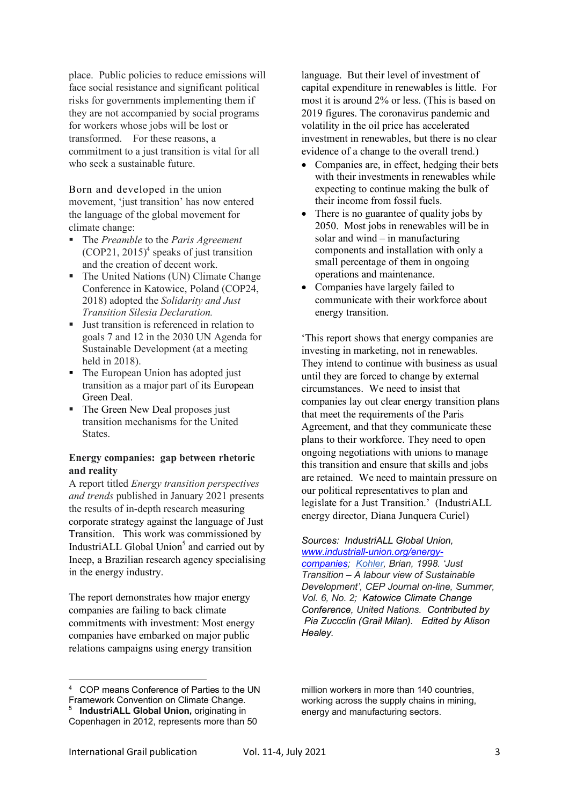place. Public policies to reduce emissions will face social resistance and significant political risks for governments implementing them if they are not accompanied by social programs for workers whose jobs will be lost or transformed. For these reasons, a commitment to a just transition is vital for all who seek a sustainable future.

Born and developed in the union movement, 'just transition' has now entered the language of the global movement for climate change:

- § The *Preamble* to the *Paris Agreement*  $(COP21, 2015)^4$  speaks of just transition and the creation of decent work.
- The United Nations (UN) Climate Change Conference in Katowice, Poland (COP24, 2018) adopted the *Solidarity and Just Transition Silesia Declaration.*
- Just transition is referenced in relation to goals 7 and 12 in the 2030 UN Agenda for Sustainable Development (at a meeting held in 2018).
- The European Union has adopted just transition as a major part of its European Green Deal.
- The Green New Deal proposes just transition mechanisms for the United **States**

### **Energy companies: gap between rhetoric and reality**

A report titled *Energy transition perspectives and trends* published in January 2021 presents the results of in-depth research measuring corporate strategy against the language of Just Transition. This work was commissioned by IndustriALL Global Union<sup>5</sup> and carried out by Ineep, a Brazilian research agency specialising in the energy industry.

The report demonstrates how major energy companies are failing to back climate commitments with investment: Most energy companies have embarked on major public relations campaigns using energy transition

language. But their level of investment of capital expenditure in renewables is little. For most it is around 2% or less. (This is based on 2019 figures. The coronavirus pandemic and volatility in the oil price has accelerated investment in renewables, but there is no clear evidence of a change to the overall trend.)

- Companies are, in effect, hedging their bets with their investments in renewables while expecting to continue making the bulk of their income from fossil fuels.
- There is no guarantee of quality jobs by 2050. Most jobs in renewables will be in solar and wind – in manufacturing components and installation with only a small percentage of them in ongoing operations and maintenance.
- Companies have largely failed to communicate with their workforce about energy transition.

'This report shows that energy companies are investing in marketing, not in renewables. They intend to continue with business as usual until they are forced to change by external circumstances. We need to insist that companies lay out clear energy transition plans that meet the requirements of the Paris Agreement, and that they communicate these plans to their workforce. They need to open ongoing negotiations with unions to manage this transition and ensure that skills and jobs are retained. We need to maintain pressure on our political representatives to plan and legislate for a Just Transition.' (IndustriALL energy director, Diana Junquera Curiel)

*Sources: IndustriALL Global Union, www.industriall-union.org/energycompanies; Kohler, Brian, 1998. 'Just* 

*Transition – A labour view of Sustainable Development', CEP Journal on-line, Summer, Vol. 6, No. 2; Katowice Climate Change Conference, United Nations. Contributed by Pia Zuccclin (Grail Milan). Edited by Alison Healey.*

 $\overline{a}$ 

<sup>4</sup> COP means Conference of Parties to the UN Framework Convention on Climate Change.

<sup>5</sup> **IndustriALL Global Union,** originating in Copenhagen in 2012, represents more than 50

million workers in more than 140 countries. working across the supply chains in mining, energy and manufacturing sectors.